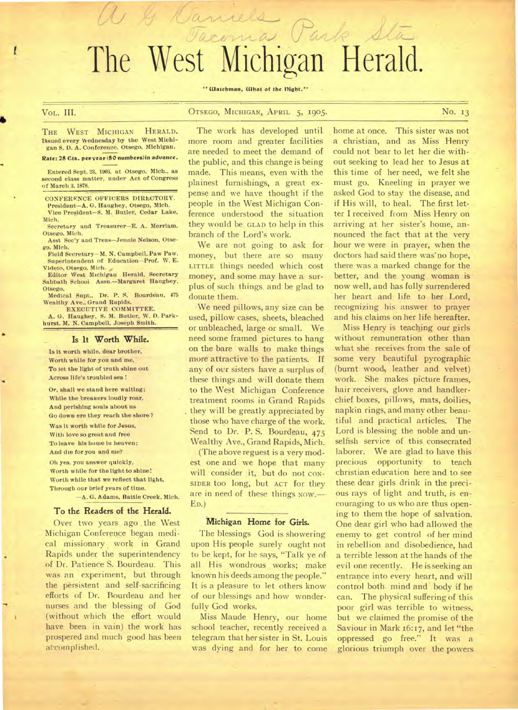# The West Michigan Herald.

acoma Park Sta

• Watchman, What of the flight."

VOL. III. CTSEGO, MICHIGAN, APRIL 5, 1905. No. 13

THE WEST MICHIGAN HERALD. ISsued every Wednesday by the West Michigan S. D. A. Conference. Otsego. Michigan.

 $\mathcal{U} \not \rightarrow$ 

#### Rate: 25 Cts. per year (50 numbers) in advance.

Entered Sept. 23, 1903. at Otsego. Mich.. as second class matter, under Act of Congress of March 3, 1878.

CONFERKNCE OFFICERS DIRECTORY. President—A. G. Haughey, Otsego, Mich. Vice President—S. M. Butler, Cedar Lake,

Mich. Secretary and Treasurer—E. A. Merriam. Otsego, Mich.

Asst Sec'y and Treas—Jennie Nelson, Otsego. Mich.

Field Secretary—M. N. Campbell. Paw Paw. Superintendent of Education—Prof. W. E. Videto, Otsego. Mich.

Editor West Michigan Herald, Secretary Sabbath School Assn.—Margaret Haughey, Otsego.

Medical Supt., Dr. P. S. Bourdeau, 475 Wealthy Ave., Grand Rapids.

EXECUTIVE COMMITTEE. A. G. Haughey, S. M. Butler, W. D. Parkhurst, M. N. Campbell, Joseph Smith.

#### Is It Worth While.

Is it worth while, dear brother, Worth while for you and me, To let the light of truth shine out Across life's troubled sea !

Or, shall we stand here waiting; While the breakers loudly roar, And perishing souls about us Go down ere they reach the shore ? Was it worth while for Jesus, With love so great and free To leave his home lu heaven; And die for you and me?

Oh yes. you answer quickly, Worth while for the light to shine! Worth while that we reflect that light, Through our brief years of time.

—A. G. Adams, Battle Creek, Mich.

#### To the Readers of the Herald.

Over two years ago the West Michigan Conference began medical missionary work in Grand Rapids under the superintendency of Dr. Patience S. Bourdeau. This was an experiment, but through the persistent and self-sacrificing efforts of Dr. Bourdeau and her nurses and the blessing of God (without which the effort would have been in vain) the work has prospered and much good has been accomplished.

The work has developed until. more room and greater facilities are needed to meet the demand of the public, and this change is being made. This means, even with the plainest furnishings, a great expense and we have thought if the people in the West Michigan Conference understood the situation they would be GLAD to help in this branch of the Lord's work.

We are not going to ask for money, but there are so many LITTLE things needed which cost money, and some may have a surplus of such things. and be glad to donate them.

We need pillows, any size can be used, pillow cases, sheets, bleached or unbleached, large or small. We need some framed pictures to hang on the bare walls to make things more attractive to the patients. If any of our sisters have a surplus of these things and will donate them to the West Michigan Conference treatment rooms in Grand Rapids they will be greatly appreciated by those who have charge of the work. Send to Dr. P. S. Bourdeau, 475 Wealthy Ave., Grand Rapids, Mich.

(The above reguest is a very modest one and. we hope that many will consider it, but do not con-SIDER too long, but ACT for they are in need of these things NOW.-ED.)

#### Michigan Home for Girls.

The blessings God is showering upon His people surely ought not to be kept, for he says, "Talk ye of all His wondrous works; make known his deeds among the people." It is a pleasure to let others know of our blessings and how wonderfully God works.

Miss Maude Henry, our home school teacher, recently received a telegram that her sister in St. Louis was dying and for her to come

home at once. This sister was not a christian, and as Miss Henry could not bear to let her die without seeking to lead her to Jesus at this time of her need, we felt she must go. Kneeling in prayer we asked God to stay the disease, and if His will, to heal. The first letter I received from Miss Henry on arriving at her sister's home, announced the fact that at the very hour we were in prayer, when the doctors had said there was'no hope, there was a marked change for the better, and the young woman is now well, and has fully surrendered her heart and life to her Lord, recognizing his answer to prayer and his claims on her life hereafter.

Miss Henry is teaching our girls without remuneration other than what she receives from the sale of some very beautiful pyrographic (burnt wood, leather and velvet) work. She makes picture frames, hair receivers, glove and handkerchief boxes, pillows, mats, doilies, napkin rings, and many other beautiful and practical articles. The Lord is blessing the noble and unselfish service of this consecrated laborer. We are glad to have this precious opportunity to teach christian education here and to see these dear girls drink in the precious rays of light and truth, is encouraging to us who are thus opening to them the hope of salvation. One dear girl who had allowed the enemy to get control of her mind in rebellion and disobedience, had a terrible lesson at the hands of the evil one recently. He is seeking an entrance into every heart, and will control both. mind and body if he can. The physical suffering of this poor girl was terrible to witness, but we claimed the promise of the Saviour in Mark 16:17, and let "the oppressed go free." It was a glorious triumph over the powers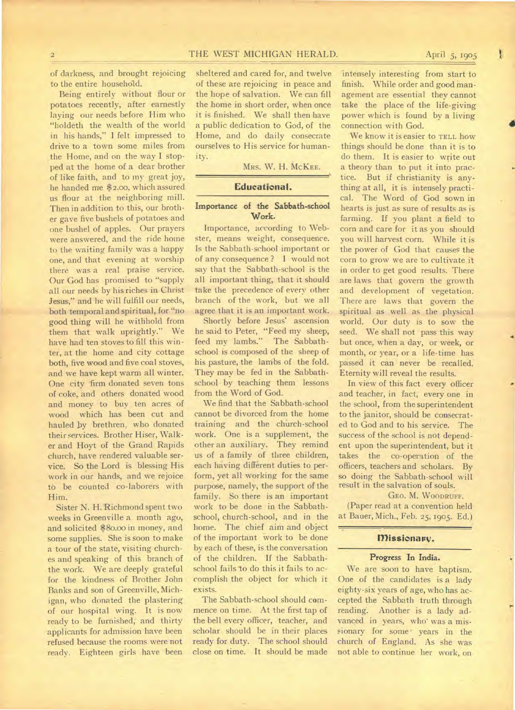of darkness, and brought rejoicing to the entire household.

Being entirely without flour or potatoes recently, after earnestly laying our needs before Him who "holdeth the wealth of the world in his hands," I felt impressed to drive to a town some miles from the Home, and on the way I stopped at the home of a dear brother of like faith, and to my great joy, he handed me \$2.00, which assured us flour at the neighboring mill. Then in addition to this, our brother gave five bushels of potatoes and one bushel of apples. Our prayers were answered, and the ride home to the waiting family was a happy one, and that evening at worship there was a real praise service. Our God has promised to "supply all our needs by his riches in Christ Jesus," and he will fulfill our needs, both temporal and spiritual, for "no good thing will he withhold from them that walk uprightly." We have had ten stoves to fill this winter, at the home and city cottage both, five wood and five coal stoves, and we have kept warm all winter. One city firm donated seven tons of coke, and others donated wood and money to buy ten acres of wood which has been cut and hauled by brethren, who donated their services. Brother Hiser, Walker and Hoyt of the Grand Rapids church, have rendered valuable service. So the Lord is blessing His work in our hands, and we rejoice to be counted co-laborers with Him.

Sister N. H. Richmond spent two weeks in Greenville a month ago, and solicited \$80.00 in money, and some supplies. She is soon to make a tour of the state, visiting churches and speaking of this branch of the work. We are deeply grateful for the kindness of Brother John Banks and son of Greenville, Michigan, who donated the plastering of our hospital wing. It is now ready to be furnished, and thirty applicants for admission have been refused because the rooms were not ready. Eighteen girls have been

sheltered and cared for, and twelve of these are rejoicing in peace and the hope of salvation. We can fill the home in short order, when once it is finished. We shall then have a public dedication to God, of the Home, and do daily consecrate ourselves to His service for humanity.

MRs. W. H. McKEE.

# **Educational.**

# Importance of the Sabbath-school Work.

Importance, according to Webster, means weight, consequence. Is the Sabbath-school important or of any consequence ? I would not say that the Sabbath-school is the all important thing, that it should take the precedence of every other branch of the work, but we all agree that it is an important work.

Shortly before Jesus' ascension he said to Peter, "Feed my sheep, feed my lambs." The Sabbathschool is composed of the sheep of his pasture, the lambs of the fold. They may be fed in the Sabbathschool by teaching them lessons from the Word of God.

We find that the Sabbath-school cannot be divorced from the home training and the church-school work. One is a supplement, the other an auxiliary. They remind us of a family of three children, each having different duties to perform, yet all working for the same purpose, namely, the support of the family. So there is an important work to be done in the Sabbathschool, church-school, and in the home. The chief aim and object of the important work to be done by each of these, is the conversation of the children. If the Sabbathschool fails to do this it fails to accomplish the object for which it exists.

The Sabbath-school should commence on time. At the first tap of the bell every officer, teacher, and scholar should be in their places ready for duty. The school should close on time. It should be made

'intensely interesting from start to finish. While order and good management are essential they cannot take the place of the life-giving power which is found by a living connection with God.

We know it is easier to TELL how things should be done than it is to do them. It is easier to write out a theory than to put it into practice. But if christianity is anything at all, it is intensely practical. The Word of God sown in hearts is just as sure of results as is farming. If you plant a field to corn and care for it as you should you will harvest corn. While it is the power of God that causes the corn to grow we are to cultivate it in order to get good results. There are laws that govern the growth and development of vegetation. There are laws that govern the spiritual as well as the physical world. Our duty is to sow the seed. We shall not pass this way but once, when a day, or week, or month, or year, or a life-time has passed it can never be recalled. Eternity will reveal the results.

In view of this fact every officer and teacher, in fact, every one in the school, from the superintendent to the janitor, should be consecrated to God and to his service. The success of the school is not dependent upon the superintendent, but it takes the co-operation of the officers, teachers and scholars. By so doing the Sabbath-school will result in the salvation of souls.

#### GEO. M. WOODRUFF.

(Paper read at a convention held at Bauer, Mich., Feb. 25, 1905. Ed.)

# **missionary.**

# Progress In India.

We are soon to have baptism. One of the candidates is a lady eighty-six years of age, who has accepted the Sabbath truth through reading. Another is a lady advanced in years, who' was a missionary for some years in the church of England. As she was not able to continue her work, on

1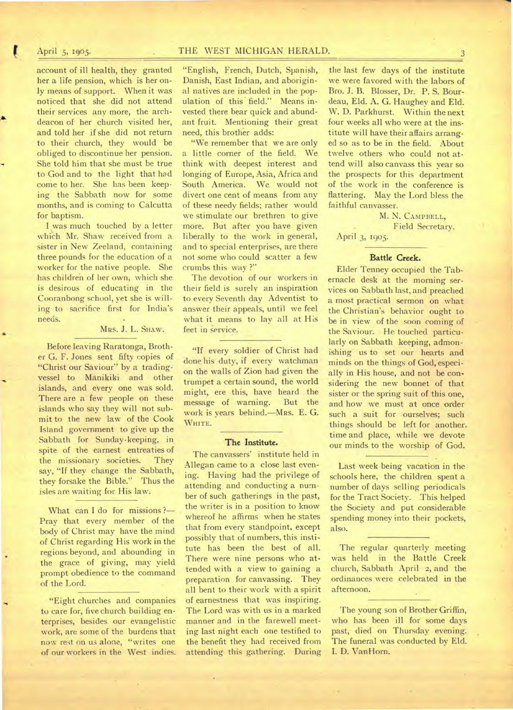# April 5, 1905. THE WEST MICHIGAN HERALD. 3

account of ill health, they granted her a life pension, which is her only means of support. When it was noticed that she did not attend their services any more, the archdeacon of her church visited her, and told her if she did not return to their church, they would be obliged to discontinue her pension. She told him that she must be true to God and to the light that had come to her. She has been keeping the Sabbath now for some months, and is coming to Calcutta for baptism.

I was much touched by a letter which Mr. Shaw received from a sister in New Zeeland, containing three pounds for the education of a worker for the native people. She has children of her own, which she is desirous of educating in the Cooranbong school, yet she is willing to sacrifice first for India's needs.

## MRS. J. L. SHAW.

Before leaving Raratonga, Brother G. F. Jones sent fifty copies of "Christ our Saviour" by a tradingvessel to Manikiki and other islands, and every one was sold. There are a few people on these islands who say they will not submit to the new law of the Cook Island government to give up the Sabbath for Sunday-keeping, in spite of the earnest entreaties of the missionary societies. They say, "If they change the Sabbath, they forsake the Bible." Thus the isles ate waiting for His law.

What can I do for missions ?-Pray that every member of the body of Christ may have the mind of Christ regarding His work in the regions beyond, and abounding in the grace of giving, may yield prompt obedience to the command of the Lord.

"Eight churches and companies to care for, five church building enterprises, besides our evangelistic work, are some of the burdens that now rest on us alone, "writes one of our workers in the West indies.

"English, French, Dutch, Spanish, Danish, East Indian, and aboriginal natives are included in the population of this field." Means invested there bear quick and abundant fruit. Mentioning their great need, this brother adds:

"We remember that we are only a little corner of the field. We think with deepest interest and longing of Europe, Asia, Africa and South America. We would not divert one cent of means from any of these needy fields; rather would we stimulate our brethren to give more. But after you have given liberally to the work in general, and to special enterprises, are there not some who could scatter a few crumbs this way ?"

The devotion of our workers in their field is surely an inspiration to every Seventh day Adventist to answer their appeals, until we feel what it means to lay all at His feet in service.

"If every soldier of Christ had done his duty, if every watchman on the walls of Zion had given the trumpet a certain sound, the world might, ere this, have heard the message of warning. But the work is years behind.—MRs. E. G. WHITE.

#### The Institute.

The canvassers' institute held in Allegan came to a close last evening. Having had the privilege of attending and conducting a number of such gatherings in the past, the writer is in a position to know whereof he affirms when he states that from every standpoint, except possibly that of numbers, this institute has been the best of all. There were nine persons who attended with a view to gaining a preparation for canvassing. They all bent to their work with a spirit of earnestness that was inspiring. The Lord was with us in a marked manner and in the farewell meeting last night each one testified to the benefit they had received from attending this gathering. During the last few days of the institute we were favored with the labors of Bro. J. B. Blosser, Dr. P. S. Bourdeau, Eld. A. G. Haughey and Eld. W. D. Parkhurst. Within the next four weeks all who were at the institute will have their affairs arranged so as to be in the field. About twelve others who could not attend will also canvass this year so the prospects for this department of the work in the conference is flattering. May the Lord bless the faithful canvasser.

M. N. CAMPBELL, Field Secretary. April 3, 1905.

#### Battle Creek.

Elder Tenney occupied the Tabernacle desk at the morning services on Sabbath last, and preached a most practical sermon on what the Christian's behavior ought to be in view of the soon coming of the Saviour. He touched particularly on Sabbath keeping, admonishing us to set our hearts and minds on the things of God, especially in His house, and not be considering the new bonnet of that sister or the spring suit of this one, and how we must at once order such a suit for ourselves; such things should be left for another. time and place, while we devote our minds to the worship of God.

Last week being vacation in the schools here, the children spent a number of days selling periodicals for the Tract Society. This helped the Society and put considerable spending money into their pockets, also.

The regular quarterly meeting was held in the Battle Creek church, Sabbath April 2, and the ordinances were celebrated in the afternoon.

The young son of Brother Griffin, who has been ill for some days past, died on Thursday evening. The funeral was conducted by Eld. I. D. Van Horn.